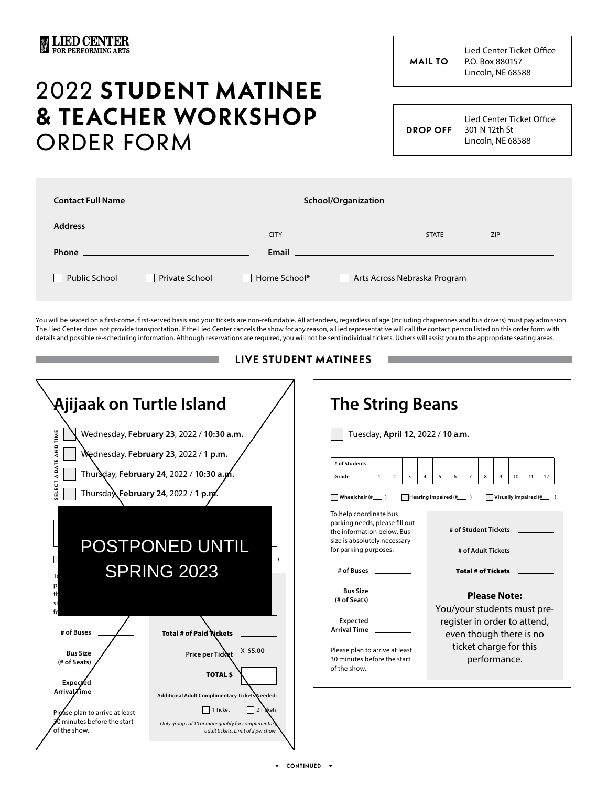**MAIL TO**

Lied Center Ticket Office P.O. Box 880157 Lincoln, NE 68588

## 2022 **STUDENT MATINEE & TEACHER WORKSHOP**  ORDER FORM

**DROP OFF**

Lied Center Ticket Office 301 N 12th St Lincoln, NE 68588

|                      |                | <b>CITY</b>  | <b>STATE</b>                                                                                                      | ZIP |  |
|----------------------|----------------|--------------|-------------------------------------------------------------------------------------------------------------------|-----|--|
|                      |                |              | <b>Email Experience and Experience and Experience and Experience and Experience and Experience and Experience</b> |     |  |
| <b>Public School</b> | Private School | Home School* | Arts Across Nebraska Program<br>$\mathbf{1}$                                                                      |     |  |

You will be seated on a first-come, first-served basis and your tickets are non-refundable. All attendees, regardless of age (including chaperones and bus drivers) must pay admission. The Lied Center does not provide transportation. If the Lied Center cancels the show for any reason, a Lied representative will call the contact person listed on this order form with details and possible re-scheduling information. Although reservations are required, you will not be sent individual tickets. Ushers will assist you to the appropriate seating areas.

**LIVE STUDENT MATINEES**

| Ajijaak on Turtle Island                                                                                                  |                                                                                                                                                                       | <b>The String Beans</b>                                                                                                        |                                                                                                                                                                                  |                |                         |                                                                                       |                                                                         |                |   |                                                                                                                                                         |                  |    |    |
|---------------------------------------------------------------------------------------------------------------------------|-----------------------------------------------------------------------------------------------------------------------------------------------------------------------|--------------------------------------------------------------------------------------------------------------------------------|----------------------------------------------------------------------------------------------------------------------------------------------------------------------------------|----------------|-------------------------|---------------------------------------------------------------------------------------|-------------------------------------------------------------------------|----------------|---|---------------------------------------------------------------------------------------------------------------------------------------------------------|------------------|----|----|
| A DATE AND TIME<br>ᆸ<br>Thursday February 24, 2022 / 1 p.m.                                                               | Wednesday, February 23, 2022 / 10:30 a.m.<br>Wednesday, February 23, 2022 / 1 p.m.<br>Thursday, February 24, 2022 / 10:30 a.p.                                        | # of Students<br>Grade                                                                                                         | $\mathbf{1}$<br>Wheelchair (#___)                                                                                                                                                | $\overline{2}$ | $\overline{\mathbf{3}}$ | Tuesday, April 12, 2022 / 10 a.m.<br>5<br>$\overline{4}$<br>Hearing Impaired (#_____) | 6                                                                       | $\overline{7}$ | 8 | 9<br>Visually Impaired $(\frac{\mu}{2})$                                                                                                                | 10 <sup>10</sup> | 11 | 12 |
| POSTPONED UNTIL<br><b>SPRING 2023</b>                                                                                     |                                                                                                                                                                       |                                                                                                                                | To help coordinate bus<br>parking needs, please fill out<br>the information below. Bus<br>size is absolutely necessary<br>for parking purposes.<br># of Buses<br><b>Bus Size</b> |                |                         |                                                                                       | # of Student Tickets<br># of Adult Tickets<br><b>Total # of Tickets</b> |                |   |                                                                                                                                                         |                  |    |    |
| # of Buses<br><b>Bus Size</b><br>(# of Seats)                                                                             | <b>Total # of Paid Nickets</b><br>$X$ \$5.00<br>Price per Ticket<br><b>TOTAL \$</b>                                                                                   | $#$ of Seats) $-$<br>Expected<br>Arrival Time<br>Please plan to arrive at least<br>30 minutes before the start<br>of the show. |                                                                                                                                                                                  |                |                         |                                                                                       |                                                                         |                |   | <b>Please Note:</b><br>You/your students must pre-<br>register in order to attend,<br>even though there is no<br>ticket charge for this<br>performance. |                  |    |    |
| Expec <b>z</b> ed<br>Arrival <b>A</b> ime<br>Please plan to arrive at least<br>O minutes before the start<br>of the show. | Additional Adult Complimentary Tickets Needed:<br>1 Ticket<br>2 Tickets<br>Only groups of 10 or more qualify for complimentary<br>adult tickets. Limit of 2 per show. |                                                                                                                                |                                                                                                                                                                                  |                |                         |                                                                                       |                                                                         |                |   |                                                                                                                                                         |                  |    |    |